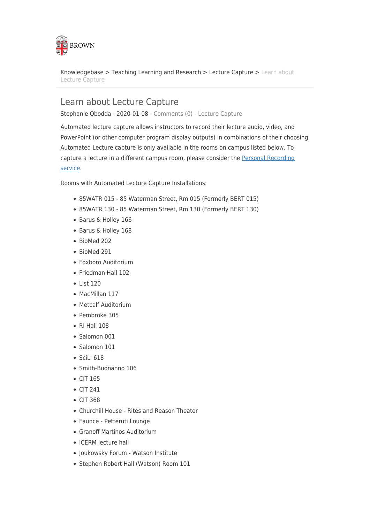

[Knowledgebase](https://ithelp.brown.edu/kb) > [Teaching Learning and Research](https://ithelp.brown.edu/kb/teaching-learning-and-research) > [Lecture Capture](https://ithelp.brown.edu/kb/lecture-capture) > [Learn about](https://ithelp.brown.edu/kb/articles/learn-about-lecture-capture) [Lecture Capture](https://ithelp.brown.edu/kb/articles/learn-about-lecture-capture)

# Learn about Lecture Capture

Stephanie Obodda - 2020-01-08 - [Comments \(0\)](#page--1-0) - [Lecture Capture](https://ithelp.brown.edu/kb/lecture-capture)

Automated lecture capture allows instructors to record their lecture audio, video, and PowerPoint (or other computer program display outputs) in combinations of their choosing. Automated Lecture capture is only available in the rooms on campus listed below. To capture a lecture in a different campus room, please consider the [Personal Recording](https://it.brown.edu/services/type/personal-recording) [service.](https://it.brown.edu/services/type/personal-recording)

Rooms with Automated Lecture Capture Installations:

- 85WATR 015 85 Waterman Street, Rm 015 (Formerly BERT 015)
- 85WATR 130 85 Waterman Street, Rm 130 (Formerly BERT 130)
- Barus & Holley 166
- Barus & Holley 168
- BioMed 202
- BioMed 291
- Foxboro Auditorium
- Friedman Hall 102
- $\bullet$  List 120
- MacMillan 117
- Metcalf Auditorium
- Pembroke 305
- RI Hall 108
- Salomon 001
- Salomon 101
- $\bullet$  SciLi 618
- Smith-Buonanno 106
- $\bullet$  CIT 165
- $\bullet$  CIT 241
- CIT 368
- Churchill House Rites and Reason Theater
- Faunce Petteruti Lounge
- Granoff Martinos Auditorium
- ICERM lecture hall
- Joukowsky Forum Watson Institute
- Stephen Robert Hall (Watson) Room 101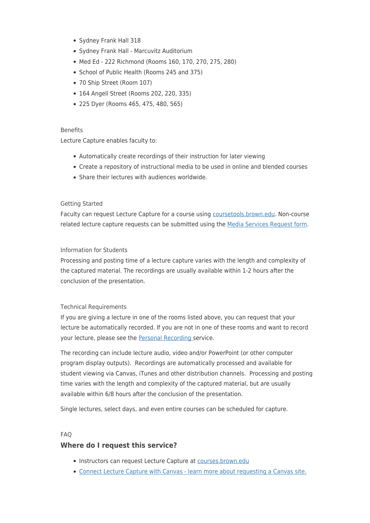- Sydney Frank Hall 318
- Sydney Frank Hall Marcuvitz Auditorium
- Med Ed 222 Richmond (Rooms 160, 170, 270, 275, 280)
- School of Public Health (Rooms 245 and 375)
- 70 Ship Street (Room 107)
- 164 Angell Street (Rooms 202, 220, 335)
- 225 Dyer (Rooms 465, 475, 480, 565)

#### **Benefits**

Lecture Capture enables faculty to:

- Automatically create recordings of their instruction for later viewing
- Create a repository of instructional media to be used in online and blended courses
- Share their lectures with audiences worldwide.

## Getting Started

Faculty can request Lecture Capture for a course using [coursetools.brown.edu](https://coursetools.brown.edu/). Non-course related lecture capture requests can be submitted using the [Media Services Request form](https://www.brown.edu/cis/services/media/request_form.php).

#### Information for Students

Processing and posting time of a lecture capture varies with the length and complexity of the captured material. The recordings are usually available within 1-2 hours after the conclusion of the presentation.

## Technical Requirements

If you are giving a lecture in one of the rooms listed above, you can request that your lecture be automatically recorded. If you are not in one of these rooms and want to record your lecture, please see the [Personal Recording s](https://it.brown.edu/services/type/personal-recording)ervice.

The recording can include lecture audio, video and/or PowerPoint (or other computer program display outputs). Recordings are automatically processed and available for student viewing via Canvas, iTunes and other distribution channels. Processing and posting time varies with the length and complexity of the captured material, but are usually available within 6/8 hours after the conclusion of the presentation.

Single lectures, select days, and even entire courses can be scheduled for capture.

#### FAQ

## **Where do I request this service?**

- Instructors can request Lecture Capture at [courses.brown.edu](http://courses.brown.edu)
- [Connect Lecture Capture with Canvas learn more about requesting a Canvas site.](http://coursetools.brown.edu)